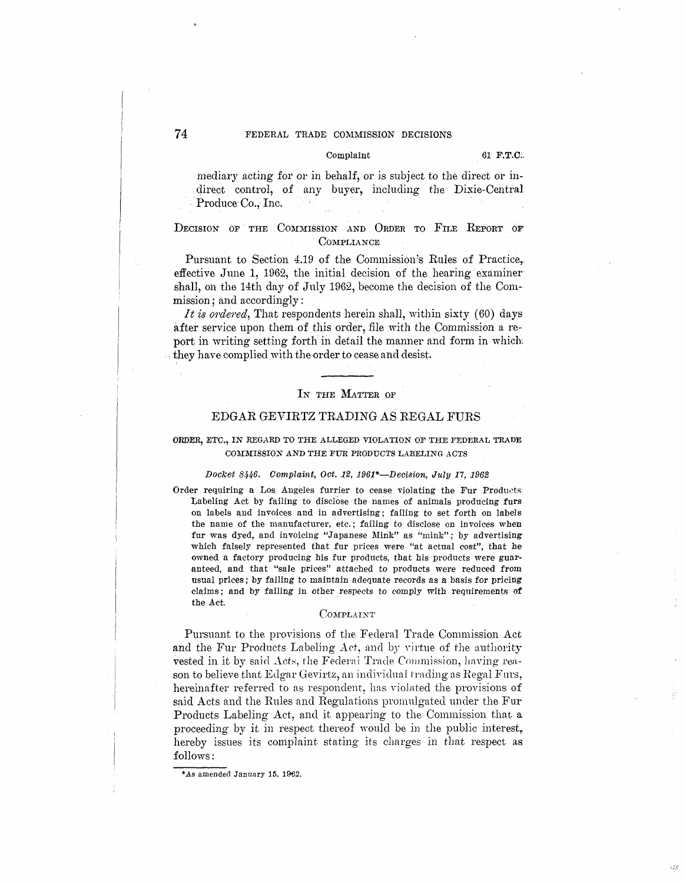# Complaint 61 **F.T.C**;

mediary acting for or in behalf, or is subject to the direct or indirect control, of any buyer, including the Dixie-Central Produce Co., Inc.

# DECISION OF THE COMMISSION AND ORDER TO FILE REPORT OF COMPLIANCE

Pursuant to Section 4.19 of the Commission's Rules of Practice,. effective June 1, 1962, the initial decision of the hearing examiner shall, on the 14th day of July 1962, become the decision of the Commission; and accordingly:

It is ordered, That respondents herein shall, within sixty (60) days after service upon them of this order, file with the Commission a report in writing setting forth in detail the manner and form in which they have complied with the order to cease and desist.

#### IN THE MATTER OF

# EDGAR GEVIRTZ TRADING AS REGAL FURS

# ORDER, ETC., IN REGARD TO THE ALLEGED VIOLATION OF THE FEDERAL TRADE COMMISSION AND THE FUR PRODUCTS LABELING ACTS

#### Docket *8446,* Complaint, Oct. 12, 1961\*-Decision, July 17, 1962

Order requiring a Los Angeles furrier to cease violating the Fur Produds: Labeling Act by failing to disclose the names of animals producing furs on labels and invoices and in advertising; failing to set forth on labels the name of the manufacturer, etc.; failing to disclose on invoices when fur was dyed, and invoicing "Japanese Mink" as "mink"; by advertising which falsely represented that fur prices were "at actual cost", that he owned a factory producing bis fur products, that his products were guaranteed, and that "sale prices" attached to products were reduced from usual prices; by failing to maintain adequate records as a basis for pricing claims ; and by failing in other respects to comply with requirements of the Act.

#### COMPLAINT

Pursuant to the provisions of the Federal Trade Commission Act and the Fur Products Labeling Act, and by virtue of the authority vested in it by said *Acts*, the Federal Trade Commission, having reason to believe that Edgar Gevirtz, an individual trading as Regal Furs, hereinafter referred to as respondent, has violated the provisions of said Acts and the Rules and Regulations promnlgated under the Fur Products Labeling Act, and it appearing to the Commission that a proceeding by it in respect thereof would be in the public interest, hereby issues its complaint stating its charges in that respect as. follows:

**<sup>\*.</sup>As amended January 15, 1962.**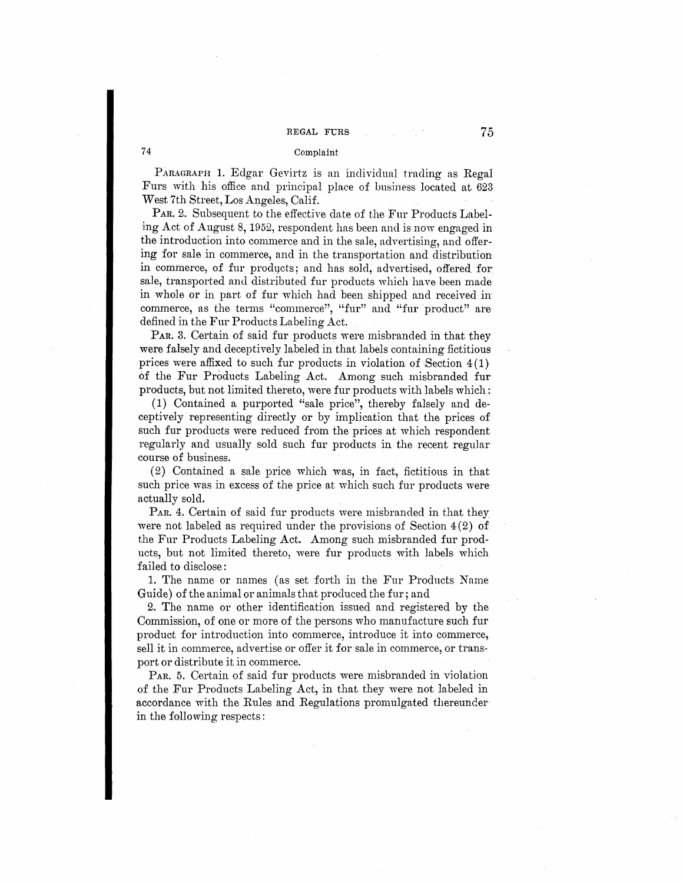# Complaint

PARAGRAPH 1. Edgar Gevirtz is an individual trading as Regal Furs with his office and prineipal place of business located at 623 West 7th Street, Los Angeles, Calif.

PAR. 2. Subsequent to the effective date of the Fur Products Labeling Act of August 8, 1952, respondent has been and is now engaged in the introduction into commerce and in the sale, advertising, and offering for sale in commerce, and in the transportation and distribution in commerce, of fur products; and has sold, advertised, offered for sale, transported and distributed fur products which have been made in whole or in part of fur which had been shipped and received in commerce, as the terms "commerce", "fur" and "fur product" are defined in the Fur Products Labeling Act.

PAR. 3. Certain of said fur products were misbranded in that they were falsely and deceptively labeled in that labels containing fictitious prices were affixed to such fur products in violation of Section  $4(1)$ of the Fur Products Labeling Act. Among such misbranded fur products, but not limited thereto, were fur products with labels which:

(1) Contained a purported "sale price", thereby falsely and deceptively representing directly or by implication that the prices of such fur products were reduced from the prices at which respondent regularly and usually sold such fur products in the recent regular course of business.

 $(2)$  Contained a sale price which was, in fact, fictitious in that. such price was in excess of the price at which such fur products were actually sold.

PAR. 4. Certain of said fur products were misbranded in that they were not labeled as required under the provisions of Section  $4(2)$  of the Fur Products Labeling Act. Among such misbranded fur products, but not limited thereto, were fur products with labels which failed to disclose:

1. The name or names ( as set forth in the Fur Products Name Guide) of the animal or animals that produced the fur; and

2. The name or other identification issued and registered by the Commission, of one or more of the persons who manufacture such fur product for introduction into commerce, introduce it into commerce, sell it in commerce, advertise or offer it for sale in commerce, or transport or distribute it in commerce.

PAR. 5. Certain of said fur products were misbranded in violation of the Fur Products Labeling Act, in that they were not labeled in accordance with the Rules and Regulations promulgated thereunder in the following respects:

**74**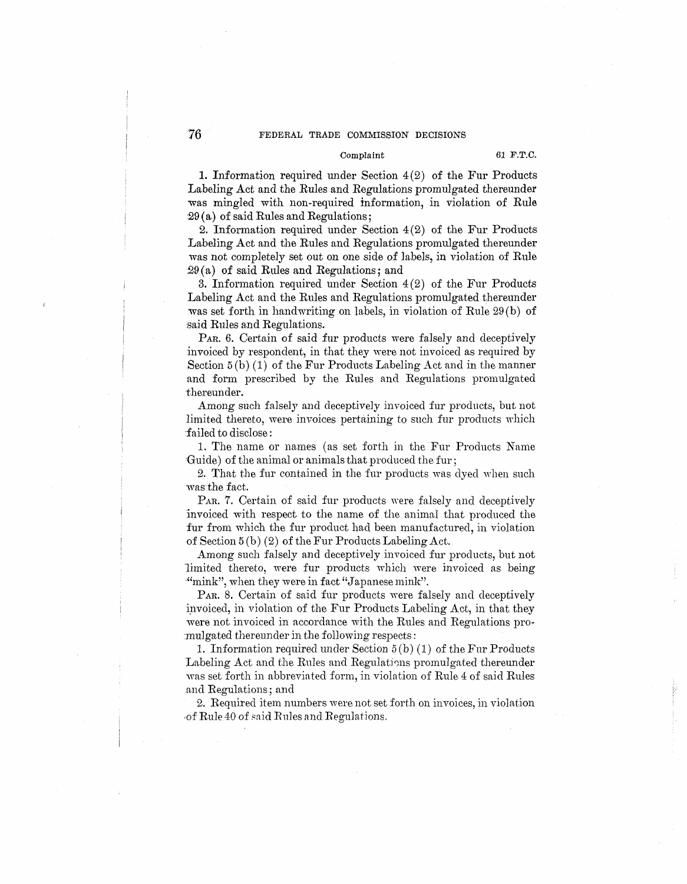# Complaint 61 F.T.C.

1. Information required under Section  $4(2)$  of the Fur Products Labeling Act and the Rules and Regulations promulgated thereunder was mingled with non-required information, in violation of Rule 29 (a.) of said Rules and Regulations;

2. Information required under Section 4(2) of the Fur Products Labeling Act and the Rules and Regulations promulgated thereunder was not completely set out on one side of labels, in violation of Rule  $29(a)$  of said Rules and Regulations; and

3. Information required under Section 4(2) of the Fur Products Labeling Act and the Rules and Regulations promulgated thereunder was set forth in handwriting on labels, in violation of Rule 29 (b) of said Rules and Regulations.

PAR. 6. Certain of said fur products were falsely and deceptively invoiced by respondent, in that they were not invoiced as required by Section  $5(b)$  (1) of the Fur Products Labeling Act and in the manner and form prescribed by the Rules and Regulations promulgated thereunder.

Among such falsely and deceptively invoiced fur products, but not limited thereto, were invoices pertaining to such fur products which ·failed to disclose:

1. The name or names ( as set forth in the Fur Products Name Guide) of the animal or animals that produced the fur;

2. That the fur contained in the fur products was dyed when such was the fact.

P<sub>AR</sub>. 7. Certain of said fur products were falsely and deceptively 'invoiced with respect to the name of the animal that produced the fur from which the fur product had been manufactured, in violation of Section 5 (b) (2) of the Fur Products Labeling Act.

Among such falsely and deceptively invoiced fur products, but not limited thereto, were fur products which were invoiced as being "mink", when they were in fact "Japanese mink".

PAR. 8. Certain of said fur products were falsely and deceptively invoiced, in violation of the Fur Products Labeling Act, in that they were not invoiced in accordance with the Rules and Regulations pro :mulgated thereunder in the following respects:

1. Information required under Section 5 (b) (1) of the Fur Products Labeling Act and the Rules and Regulations promulgated thereunder was set forth in abbreviated form, in violation of Rule 4 of said Rules and Regulations; and

2. Required item numbers were not set forth on invoices, in violation of Rule 40 of said Rules and Regulations.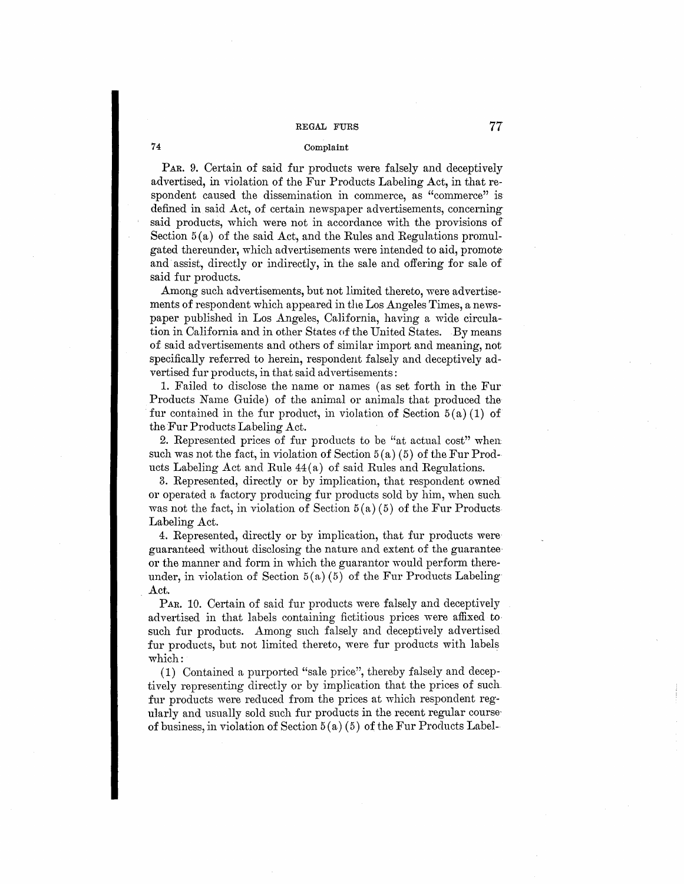#### Complaint

PAR. 9. Certain of said fur products were falsely and deceptively advertised, in violation of the Fur Products Labeling Act, in that respondent caused the dissemination in commerce, as "commerce" is defined in said Act, of certain newspaper advertisements, concerning said products, which were not in accordance with the provisions of Section  $5(a)$  of the said Act, and the Rules and Regulations promulgated thereunder, which advertisements were intended to aid, promote· and assist, directly or indirectly, in the sale and offering for sale of said fur products.

Among such advertisements, but not limited thereto, were advertisements of respondent which appeared in the Los Angeles Times, a newspaper published in Los Angeles, California, having a wide circulation in California and in other States of the United States. By means of said advertisements and others of similar import and meaning, not specifically referred to herein, respondent falsely and deceptively advertised fur products, in that said advertisements:

1. Failed to disclose the name or names ( as set forth in the Fur Products Name Guide) of the animal or animals that produced the fur contained in the fur product, in violation of Section  $5(a)(1)$  of the Fur Products Labeling Act.

2. Represented prices of fur products to be "at actual cost" when such was not the fact, in violation of Section  $5(a)(5)$  of the Fur Products Labeling Act and Rule 44 (a) of said Rules and Regulations.

3. Represented, directly or by implication, that respondent owned or operated a factory producing fur products sold by him, when such was not the fact, in violation of Section  $5(a)(5)$  of the Fur Products Labeling Act.

4. Represented, directly or by implication, that fur products wem guaranteed without disclosing the nature and extent of the guarantee· or the manner and form in which the guarantor would perform thereunder, in violation of Section  $5(a)(5)$  of the Fur Products Labeling Act.

PAR. 10. Certain of said fur products were falsely and deceptively advertised in that labels containing fictitious prices were affixed to such fur products. Among such falsely and deceptively advertised fur products, but not limited thereto, were fur products with labels which:

(1) Contained a purported "sale price", thereby falsely and deceptively representing [directly](https://clirect.1y) or by implication that the prices of such. fur products were reduced from the prices at which respondent regularly and usually sold such fur products in the recent regular course of business, in violation of Section  $5(a)$  (5) of the Fur Products Label-

**74**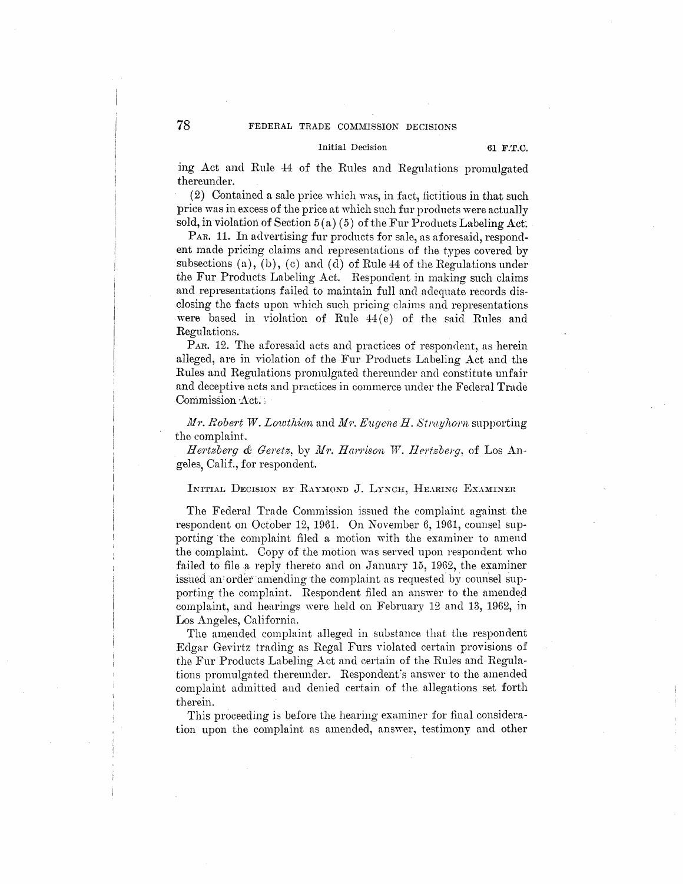#### Initial Decision **61 F.T.C.**

ing Act and Rule 44 of the Rules and Regulations promulgated thereunder.

 $(2)$  Contained a sale price which was, in fact, fictitious in that such price was in excess of the price at which such fur products were actually sold, in violation of Section  $5(a)(5)$  of the Fur Products Labeling Act.

PAR. 11. In advertising fur products for sale, as aforesaid, respondent made pricing claims and representations of the types covered by subsections (a), (b), (c) and (d) of Rule  $44$  of the Regulations under the Fur Products Labeling Act. Respondent in making such claims and representations failed to maintain full and adequate records disclosing the facts upon which such pricing claims and representations were based in violation of Rule  $44(e)$  of the said Rules and Regulations.

PAR. 12. The aforesaid acts and practices of respondent, as herein alleged, are in violation of the Fur Products Labeling Act and the Rules and Regulations promulgated thereunder and constitute unfair and deceptive acts and practices in commerce under the Federal Trade Commission Act.

Ll11·. *Robe'i't W. Lowthiari* and lJi'i'. *Eugene H. Strayhorn* snpporting the complaint.

*Hertzberg & Geretz, by Mr. Harrison W. Hertzberg, of Los An*geles, Calif., for respondent.

### INITIAL DECISION BY RAYMOND J. LYNCH, HEARING EXAMINER.

The Federal Trade Commission issued the complaint against the respondent on October 12, 1961. On November 6, 1961, counsel supporting the complaint filed a motion with the examiner to amend the complaint. Copy of the motion was served upon respondent who failed to file a reply thereto and on January 15, 1962, the examiner issued an order amending the complaint as requested by counsel supporting the complaint. Respondent filed an answer to the amended complaint, and hearings were held on February 12 and 13, 1962, jn Los Angeles, California.

The amended complaint alleged in substance that the respondent Edgar Gevirtz trading as Regal Furs violated certain provisions of the Fur Products Labeling Act and certain of the Rules and Regulations [promulgated](https://promulgat.ed) thereunder. Respondent's answer to the amended complaint admitted and denied [certain](https://certa.in) of the allegations set forth therein.

This proceeding is before the hearing examiner for final consideration upon the complaint as amended, answer, testimony and other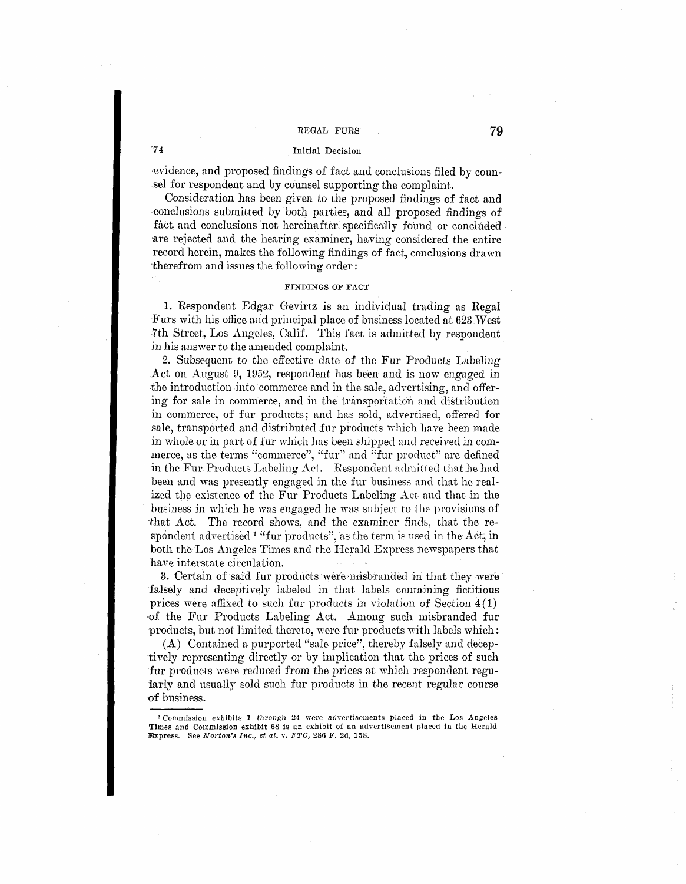# **·74** Initial Decision

evidence, and proposed findings of fact and conclusions filed by counsel for respondent and by counsel supporting the complaint.

Consideration has been given to the proposed findings of fact and -conclusions submitted by both parties, and all proposed findings of fact, and conclusions not hereinafter specifically found or concluded are rejected and the hearing examiner, having considered the entire record herein, makes the following findings of fact, conclusions drawn therefrom and issues the following order:

# **FINDINGS OF FACT**

1. Respondent Edgar Gevirtz is an individual trading as Regal Furs with his office and prjncipal place of business located at 623 West 7th Street., Los Angeles, Calif. This fact is admitted by respondent in his answer to the amended complaint.

*2.* Subsequent to the effective date of the Fur Products Labeling Act on August 9, 1952, respondent has been and is now engaged in the introduction into commerce and in the sale, advertising, and offer: ing for sale in commerce, and in the transportation and distribution in commerce, of fur products; and has sold, advertised, offered for sale, transported and distributed fur products which have been made in whole or in part of fur which has been shipped and received in commerce, as the terms "commerce", "fur" and "fur product" are defined in the Fur Products Labeling Act. Respondent admitted that he had been and was presently engaged in the fur business and that he realized the existence of the Fur Products Labeling Act and that in the business in which he was engaged he was subject to the provisions of that Act. The record shows, nnd the examiner finds, that the respondent advertised <sup>1</sup> "fur products", as the term is used in the Act, in both the Los Angeles Times and the Herald Express newspapers that have interstate circulation.

3. Certain of said fur products were misbranded in that they were falsely and deceptively labeled in that labels containing fictitious prices were affixed *to* such fur products in violation of Section 4(1) -of the Fur Products Labeling Act. Among such misbranded fur products, but not limited thereto, were fur products with labels which:

(A) Contained a purported "sale price'', thereby falsely and deceptively representing directly or by implication that the prices of such fur products were reduced from the prices at which respondent regularly and usually sold such fur products in the recent regular course -of business.

<sup>&</sup>lt;sup>2</sup> Commission exhibits 1 through 24 were advertisements placed in the Los Angeles Times and Commission exhibit 68 is an exhibit of an advertisement placed in the Herald Express. See *Morton's Inc., et al. v. FTO,* 286 F. 2d, 158.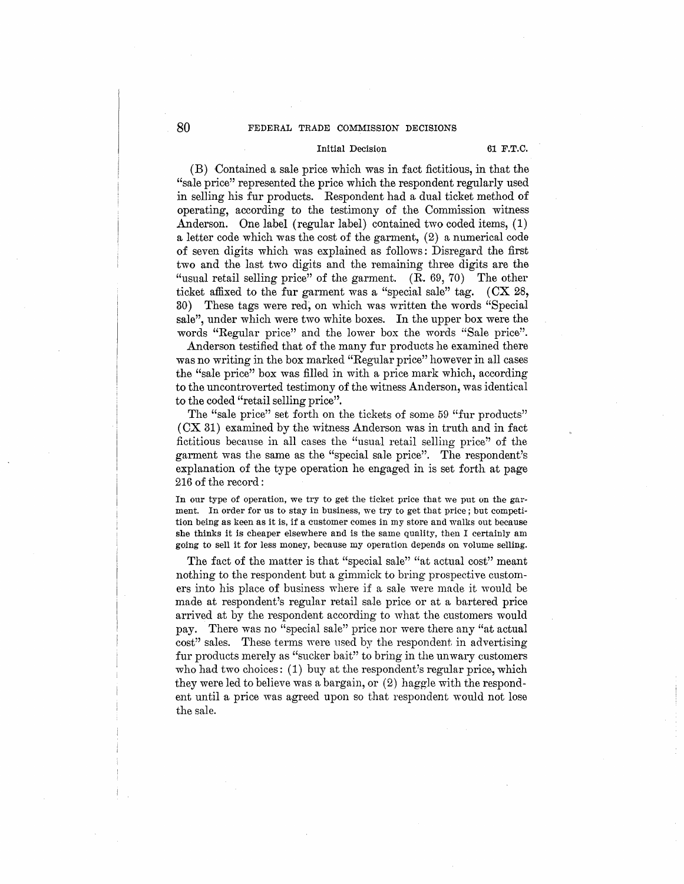# Initial Decision **61 F.T.C.**

(B) Contained a sale price which was in fact fictitious, in that the "sale price" represented the price which the respondent regularly used in selling his fur products. Respondent had a dual ticket method of operating, according to the testimony of the Commission witness Anderson. One label (regular label) contained two coded items, (1) a letter code which was the cost of the garment, (2) a numerical code of seven digits which was explained as follows: Disregard the first two and the last two digits and the remaining three digits are the "usual retail selling price" of the garment. **(R..** 69, 70) The other ticket affixed to the fur garment was a "special sale" tag. (**CX** 28, 30) These tags were red, on which was written the words "Special sale", under which were two white boxes. In the upper box were the words "Regular price" and the lower box the words "Sale price".

Anderson testified that of the many fur products he examined there was no writing in the box marked "Regular price" however in all cases the "sale price" box was filled in with a price mark which, according to the uncontroverted testimony of the witness Anderson, was identical to the coded "retail selling price".

The "sale price" set forth on the tickets of some 59 "fur products" (CX 31) examined by the witness Anderson was in truth and in fact fictitious because in all cases the "usual retail selling price" of the garment was the same as the "special sale price". The respondent's explanation of the type operation he engaged in is set forth at page 216 of the record :

In our type of operation, we try to get the ticket price that we put on the garment. In order for us to stay in business, we try to get that price; but competition being as keen as it is, if a customer comes in my store and walks out because she thinks it is cheaper elsewhere and is the same quality, then I certainly am going to sell it for less money, because my operation depends on volume selling.

The fact of the matter is that "special sale" "at actual cost" meant nothing to the respondent but a gimmick to bring prospective customers into his place of business where if a sale were made it would be made at respondent's regular retail sale price or at a bartered price arrived at by the respondent according to what the customers would pay. There was no "special sale" price nor were there any "at actual cost" sales. These terms were used by the respondent in advertising fur products merely as "sucker bait" to bring in the unwary customers who had two choices: (1) buy at the respondent's regular price, which they were led to believe was a bargain, or (2) haggle with the respondent until a price was agreed upon so that respondent would not lose the sale.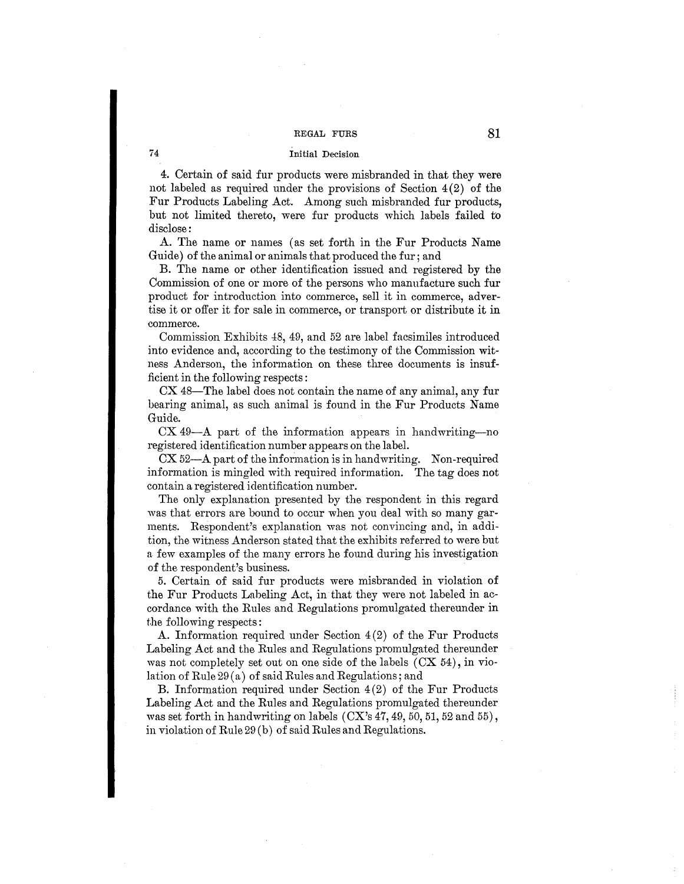# Initial Decision

74

4. Certain of said fur products were misbranded in that they were not labeled as required under the provisions of Section  $4(2)$  of the Fur Products Labeling Act. Among such misbranded fur products, but not limited thereto, were fur products which labels failed to disclose:

A. The name or names ( as set forth in the Fur Products Name Guide) of the animal or animals that produced the fur; and

B. The name or other identification issued and registered by the Commission of one or more of the persons who manufacture such fur product for introduction into commerce, sell it in commerce, advertise it or offer it for sale in commerce, or transport or distribute it in commerce.

Commission Exhibits 48, 49, and 52 are label facsimiles introduced into evidence and, according to the testimony of the Commission witness Anderson, the information on these three documents is insufficient in the following respects :

 $CX$  48-The label does not contain the name of any animal, any fur bearing animal, as such animal is found in the Fur Products Name Guide.

CX 49-A part of the information appears in handwriting-no registered identification number appears on the label.

 $CX 52-A$  part of the information is in handwriting. Non-required information is mingled with required information. The tag does not contain a registered identification number.

The only explanation presented by the respondent in this regard was that errors are bound to occur when you deal with so many garments. Respondent's explanation was not convincing and, in addition, the witness Anderson stated that the exhibits referred to were but a few examples of the many errors he found during his investigation of the respondent's business.

5. Certain of said fur products were misbranded in violation of the Fur Products Labeling Act, in that they were not labeled in accordance with the Rules and Regulations promulgated thereunder in the following respects:

A. Information required under Section 4(2) of the Fur Products Labeling Act and the Rules and Regulations promulgated thereunder was not completely set out on one side of the labels  $(CX 54)$ , in violation of Rule 29 (a) of said Rules and Regulations; and

B. Information required under Section 4(2) of the Fur Products Labeling Act and the Rules and Regulations promulgated thereunder was set forth in handwriting on labels  $(CX's 47, 49, 50, 51, 52,$  and  $55)$ , in violation of Rule 29 (b) of said Rules and Regulations.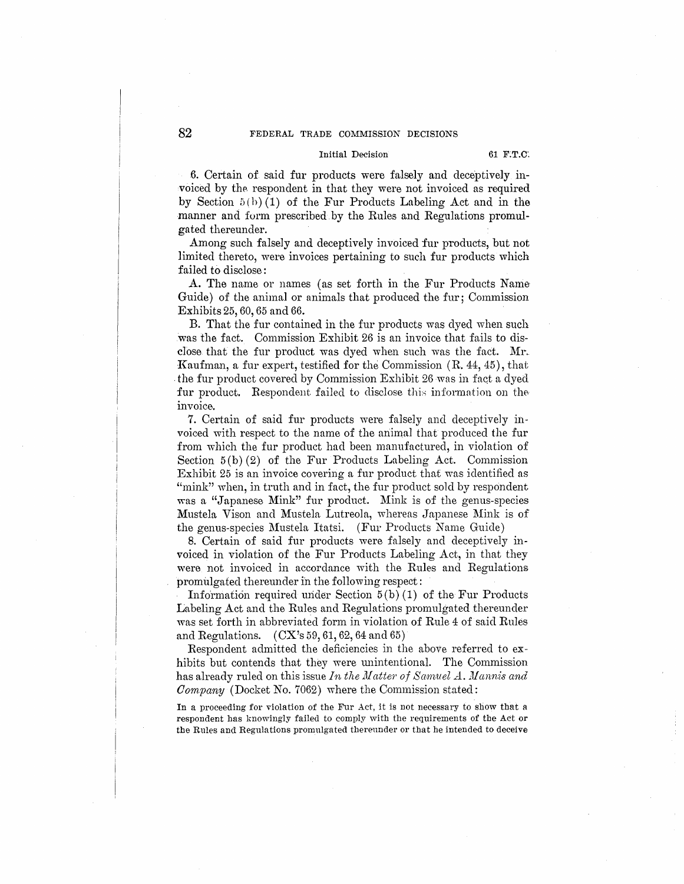# Initial Decision 61 **F.T.C.**

6. Certain of said fur products were falsely and deceptively invoiced by the respondent in that they were not invoiced as required by Section  $5(b)(1)$  of the Fur Products Labeling Act and in the manner and form prescribed by the Rules and Regulations promulgated thereunder.

Among such falsely and deceptively invoiced fur products, but not limited thereto, were invoices pertaining to such fur products which failed to disclose:

A. The name or names ( as set forth in the Fur Products Name Guide) of the animal or animals that produced the fur; Commission Exhibits 25, 60, 65 and 66.

B. That the fur contained in the fur products was dyed when such was the fact. Commission Exhibit 26 is an invoice that fails to disclose that the fur product was dyed when such was the fact. Mr.. ·Kaufman, a fur expert, testified for the Commission (R. 44, 45), that the fur product covered by Commission Exhibit 26 was in fact a dyed fur product. Respondent failed to disclose this information on the invoice.

7. Certain of said fur products were falsely and deceptively invoiced with respect to the name of the animal that produced the fur from which the fur product had been manufactured, in violation of Section  $5(b)(2)$  of the Fur Products Labeling Act. Commission Exhibit 25 is an invoice covering a fur product that was identified as "mink" when, in truth and in fact, the fur product sold by respondent was a "Japanese Mink" fur product. Mink is of the genus-species Mustela Vison and Mustela Lutreola, whereas Japanese Mink is of the genus-species Mustela Itatsi. (Fur Products Name Guide)

8. Certain of said fur products were falsely and deceptively invoiced in violation of the Fur Products Labeling Act, in that they were not invoiced in accordance with the Rules and Regulations promulgated thereunder in the following respect:

Information required mider Section 5 (b) (1) of the Fur Products Labeling Act and the Rules and Regulations promulgated thereunder was set forth in abbreviated form in violation of Rule 4 of said Rules and Regulations.  $(CX's 59, 61, 62, 64 \text{ and } 65)$ 

Respondent admitted the deficiencies in the above referred to exhibits but contends that they were unintentional. The Commission has already ruled on this issue *In the Matter of Samuel A. Mannis and Company* (Docket No. 7062) where the Commission stated:

In a proceeding for violation of the Fur Act, it is not necessary to show that a respondent has knowingly failed to comply With the requirements of the Act or the Rules and Regulations promulgated thereunder or that he intended to deceive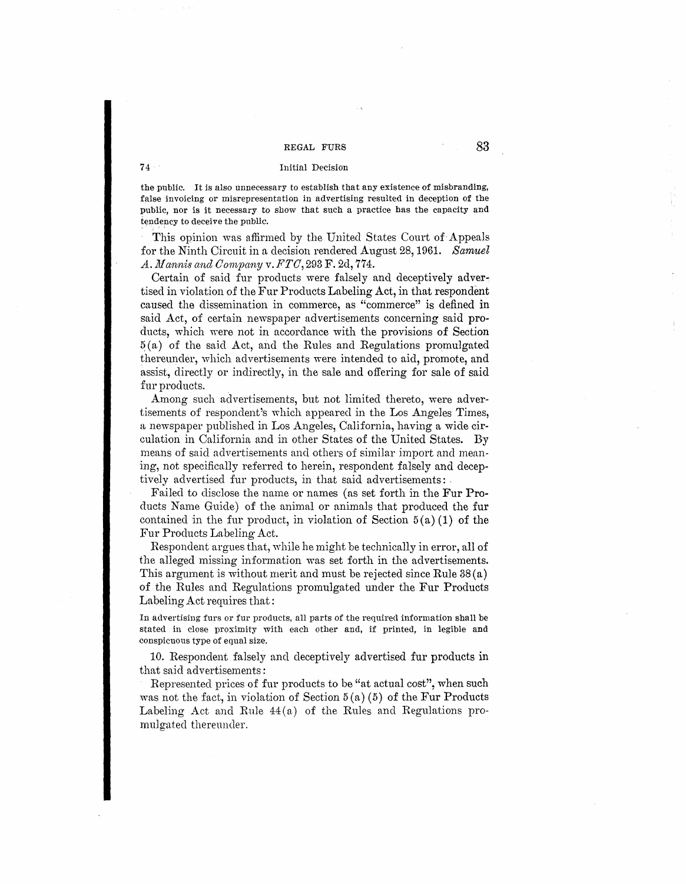## 74 Initial Decision

the public. It is also unnecessary *to* establish that any existence of misbranding, false invoicing or misrepresentation in advertising resulted in deception of the public, nor is it necessary to show that such a practice has the capacity and tendency to deceive the public.

This opinion was affirmed by the United States Court of-Appeals for the Ninth Circuit in a decision rendered August 28, 1961. *Samuel A. Man-nis ancl C01nvany* v. *FTC,* 293 F. 2d, 774.

Certain of said fur products were falsely and deceptively advertised in violation of the Fur Products Labeling Act, in that respondent caused the dissemination in commerce, as "commerce" is defined in said Act, of certain newspaper advertisements concerning said products, which were not in accordance with the provisions of Section  $5(a)$  of the said Act, and the Rules and Regulations promulgated thereunder, which advertisements were intended to aid, promote, and assist, directly or indirectly, in the sale and offering for sale of said fur products.

Among such advertisements, but not limited thereto, were advertisements of respondent's which appeared in the Los Angeles Times, a newspaper published in Los Angeles, California, having a wide circulation in California and in other States of the United States. By means of said advertisements and others of similar import and meaning, not specifically referred to herein, respondent falsely and deceptively advertised fur products, in that said advertisements: .

Failed to disclose the name or names ( as set forth in the Fur Products Name Guide) of the animal or animals that produced the fur contained in the fur product, in violation of Section  $5(a)(1)$  of the Fur Products Labeling Act.

Respondent argues that, while he might be technically in error, all of the alleged missing information was set forth in the advertisements. This argument is without merit and must be rejected since Rule 38(a) of the Rules and Regulations promulgated under the Fur Products Labeling Act requires that:

In advertising furs or fur products, all parts of the required information shall be stated in close proximity with each other and, if printed, in legible and conspicuous type of equal size.

10. Respondent falsely ancl deceptively advertised fur products in that said advertisements:

Represented prices of fur products to be "at actual cost", when such was not the fact, in violation of Section  $5(a)(5)$  of the Fur Products Labeling Act and Rule  $44(a)$  of the Rules and Regulations promulgated thereunder.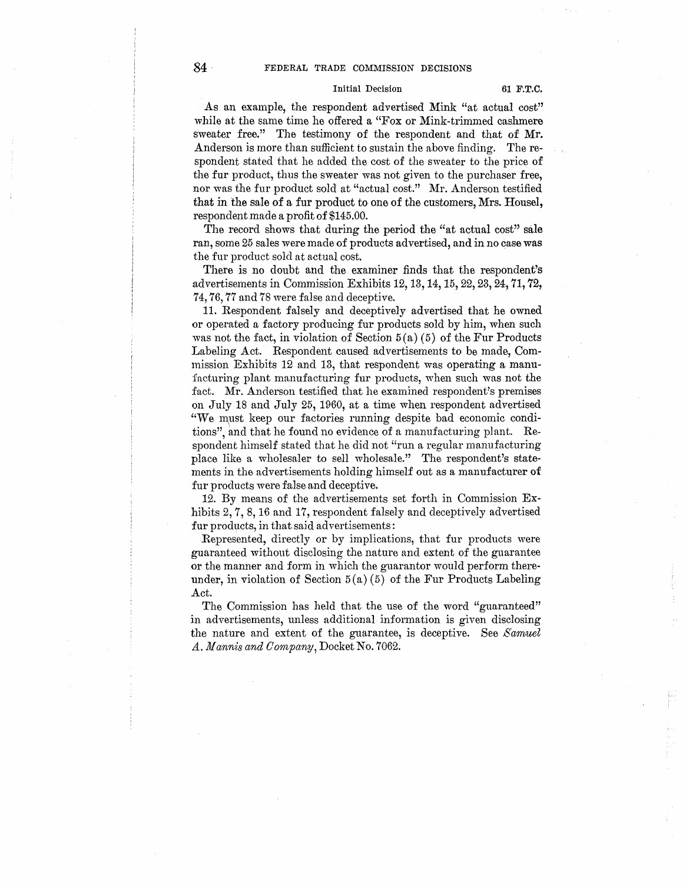#### Initial Decision 61 F.T.C.

As an example, the respondent advertised Mink "at actual cost" while at the same time he offered a "Fox or Mink-trimmed cashmere sweater free." The testimony of the respondent and that of Mr. Anderson is more than sufficient to sustain the above finding. The respondent stated that he added the cost of the sweater to the price of the fur product, thus the sweater was not given to the purchaser free, nor was the fur product sold at "actual cost." Mr. Anderson testified that in the sale of a fur product to one of the customers, Mrs. Housel, respondent made a profit of \$145.00.

The record shows that during the period the "at actual cost" sale ran, some 25 sales were made of products advertised, and in no case was the fur product sold at actual cost.

There is no doubt and the examiner finds that the respondent's advertisements in Commission Exhibits 12, 13, 14, 15, 22, 23, 24, 71, 72, 74, 76, 77 and 78 were false and deceptive.

11. Respondent falsely and deceptively advertised that he owned or operated a factory producing fur products sold by him, when such was not the fact, in violation of Section  $5(a)(5)$  of the Fur Products Labeling Act. Respondent caused advertisements to be made, Commission Exhibits 12 and 13, that respondent was operating a manufacturing plant manufacturing fur products, when such was not the fact. Mr. Anderson testified that he examined respondent's premises on July 18 and July 25, 1960, at a time when respondent advertised "vVe must keep our factories running despite bad economic conditions", and that he found no evidence of a manufacturing plant. Respondent himself stated that he did not "run a regular manufacturing place like a wholesaler to sell wholesale." The respondent's statements in the advertisements holding himself out as a manufacturer **of**  fur products were false and deceptive.

12. By means of the advertisements set forth in Commission Exhibits 2, 7, 8, 16 and 17, respondent falsely and deceptively advertised fur products, in that said advertisements:

Represented, directly or by implications, that fur products were guaranteed without disclosing the nature and extent of the guarantee or the manner and form in which the guarantor would perform thereunder, in violation of Section  $5(a)(5)$  of the Fur Products Labeling Act.

The Commission has held that the use of the word "guaranteed" in advertisements, unless additional information is given disclosing the nature and extent of the guarantee, is deceptive. See *Samuel A. Mannis and Oornpany,* Docket No. 7062.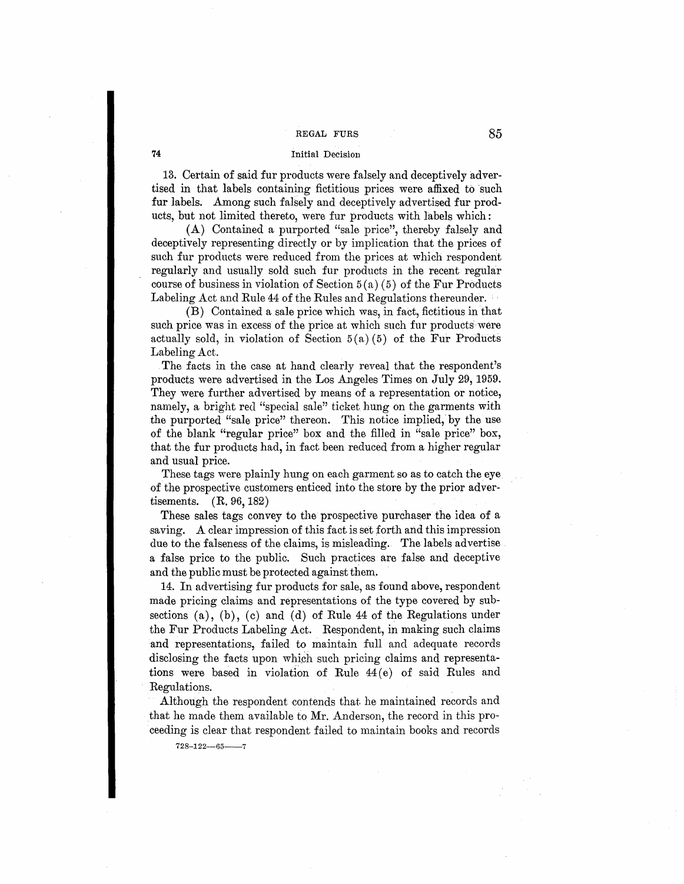# **74** Initial Decision

13. Certain of said fur products were falsely and deceptively advertised in that labels containing fictitious prices were affixed to such fur labels. Among such faliely and deceptively advertised fur products, but not limited thereto, were fur products with labels which:

(A) Contained a purported "sale price", thereby falsely and deceptively representing directly or by implication that the prices of such fur products were reduced from the prices at which respondent regularly and usually sold such fur products in the recent regular course of business in violation of Section  $5(a)(5)$  of the Fur Products Labeling Act and Rule 44 of the Rules and Regulations thereunder.

(B) Contained a sale price which was, in fact, fictitious in that such price was in excess of the price at which such fur products were actually sold, in violation of Section  $5(a)(5)$  of the Fur Products Labeling Act.

The facts in the case at hand clearly reveal that the respondent's products were advertised in the Los Angeles Times on July 29, 1959. They were further advertised by means of a representation or notice, namely, a bright red "special sale" ticket hung on the garments with the purported "sale price" thereon. This notice implied, by the use of the blank "regular price" box and the filled in "sale price" box, that the fur products had, in fact been reduced from a higher regular and usual price.

These tags were plainly hung on each garment so as to catch the eye of the prospective customers enticed into the store by the prior advertisements. (R. 96, 182)

These sales tags convey to the prospective purchaser the idea of a saving. A clear impression of this fact is set forth and this impression due to the falseness of the claims, is misleading. The labels advertise a false price to the public. Such practices are false and deceptive and the public must be protected against them.

14. In advertising fur products for sale, as found above, respondent made pricing claims and representations of the type covered by subsections  $(a)$ ,  $(b)$ ,  $(c)$  and  $(d)$  of Rule 44 of the Regulations under the Fur Products Labeling Act. Respondent, in making such claims and representations, failed to maintain full and adequate records disclosing the facts upon which such pricing claims and representations were based in violation of Rule  $44(e)$  of said Rules and Regulations.

Although the respondent contends that. he maintained records and that he made them available to Mr. Anderson, the record in this proceeding is clear that respondent failed to maintain books and records

 $728 - 122 - 65 - 7$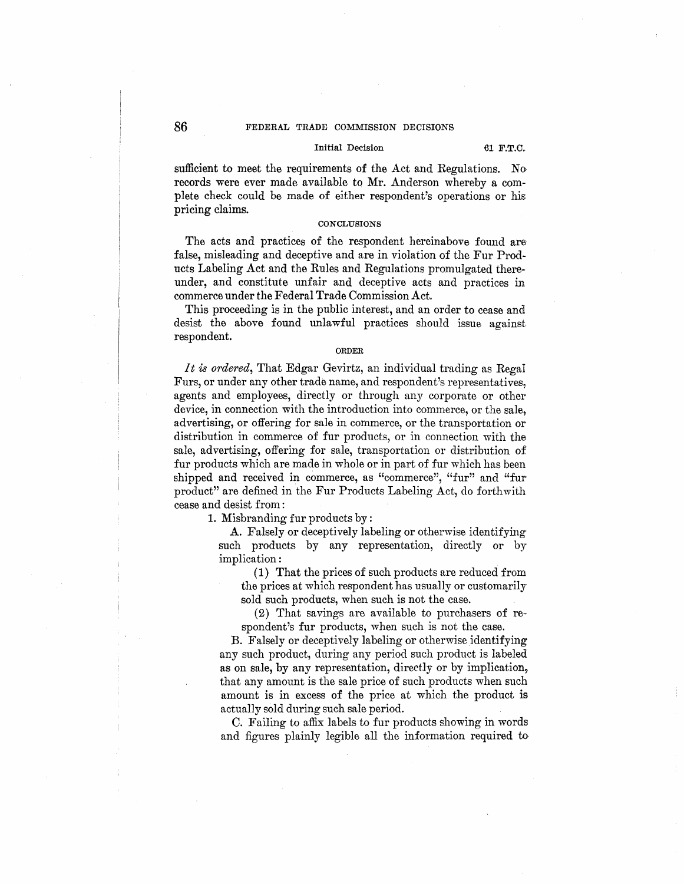# Initial Decision 61 **F.T.C.**

sufficient to meet the requirements of the Act and Regulations. No records were ever made available to Mr. Anderson whereby a complete check could be made of either respondent's operations or his pricing claims.

#### **CONCLUSIONS**

The acts and practices of the respondent hereinabove found are false, misleading and deceptive and are in violation of the Fur Products Labeling Act and the Rules and Regulations promulgated thereunder, and constitute unfair and deceptive acts and practices in commerce under the Federal Trade Commission Act.

This proceeding is in the public interest, and an order to cease and desist the above found unlawful practices should issue against respondent.

#### **ORDER**

It is *ordered*, That Edgar Gevirtz, an individual trading as Regal Furs, or under any other trade name, and respondent's representatives, agents and employees, directly or through any corporate or other device, in connection with the introduction into commerce, or the sale, advertising, or offering for sale in commerce, or the transportation or distribution in commerce of fur products, or in connection with the sale, advertising, offering for sale, transportation or distribution of fur products which are made in whole or in part of fur which has been shipped and received in commerce, as "commerce", "fur" and "fur product" are defined in the Fur Products Labeling Act, do forthwith cease and desist from :

1. Misbranding fur products by:

A. Falsely or deceptively labeling or otherwise identifying such products by any representation, directly or by implication:

(1) That the prices of such products are reduced from the prices at which respondent has usually or customarily sold such products, when such is not the case.

(2) That savings are available to purchasers of respondent's fur products, when such is not the case.

B. Falsely or deceptively labeling or otherwise identifying any such product, during any period such product is labeled as on sale, by any representation, directly or by implication, that any amount is the sale price of such products when such amount is in excess of the price at which the product is actually sold during such sale period.

C. Failing to affix labels to fur products showing in words and figures plainly legible all the information required to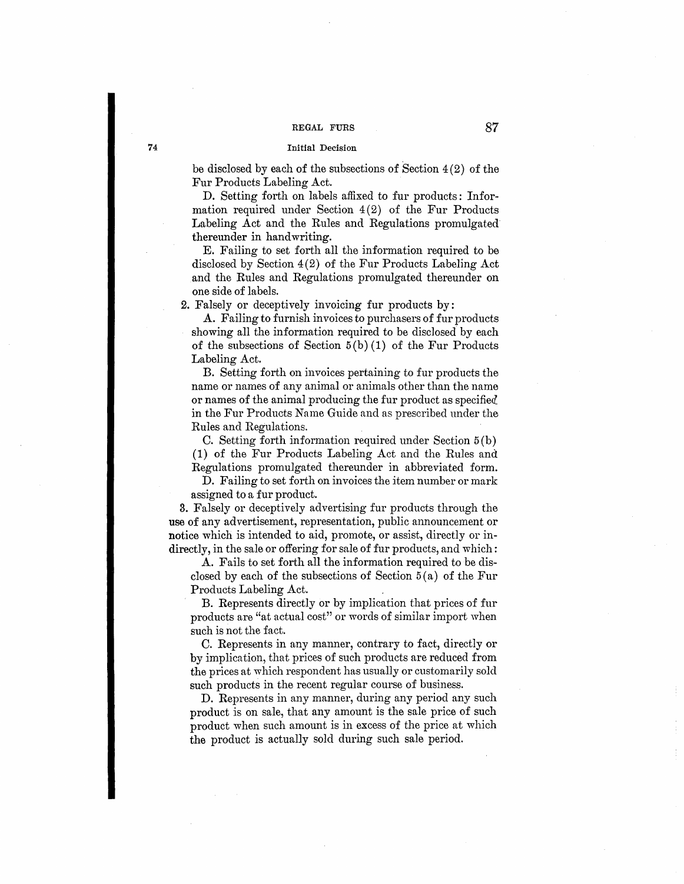#### Initial Decision

be disclosed by each of the subsections of Section 4(2) of the Fur Products Labeling Act.

D. Setting forth on labels affixed to fur products: Information required under Section  $4(2)$  of the Fur Products Labeling Act and the Rules and Regulations promulgated thereunder in handwriting.

E. Failing to set forth all the information required to be disclosed by Section 4(2) of the Fur Products Labeling Act and the Rules and Regulations promulgated thereunder on one side of labels.

2. Falsely or deceptively invoicing fur products by:

A. Failing to furnish invoices to purchasers of fur products showing all the information required to be disclosed by each of the subsections of Section  $5(b)(1)$  of the Fur Products Labeling Act.

B. Setting forth on invoices pertaining to fur products the name or names of any animal or animals other than the name or names of the animal producing the fur product as specified in the Fur Products Name Guide and as prescribed under the Rules and Regulations.

C. Setting forth information required under Section 5 (b) (1) of the Fur Products Labeling Act and the Rules and Regulations promulgated thereunder in abbreviated form.

D. Failing to set forth on invoices the item number or mark assigned to a fur product.

3. Falsely or deceptively advertising fur products through the use of any advertisement, representation, public announcement or notice which is intended to aid, promote, or assist, directly or indirectly, in the sale or offering for sale of fur products, and which:

A. Fails to set forth all the information required to be disclosed by each of the subsections of Section  $5(a)$  of the Fur Products Labeling Act.

B. Represents directly or by implication that prices of fur products are "at actual cost" or words of similar import when such is not the fact.

C. Represents in any manner, contrary to fact, directly or by implication, that prices of such products are reduced from the prices at which respondent has usually or customarily sold such products in the recent regular course of business.

D. Represents in any manner, during any period any such product is on sale, that any amount is the sale price of such product when such amount is in excess of the price at which the product is actually sold during such sale period.

**74**